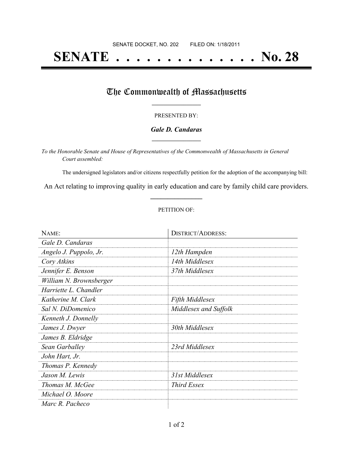# **SENATE . . . . . . . . . . . . . . No. 28**

### The Commonwealth of Massachusetts

#### PRESENTED BY:

#### *Gale D. Candaras* **\_\_\_\_\_\_\_\_\_\_\_\_\_\_\_\_\_**

*To the Honorable Senate and House of Representatives of the Commonwealth of Massachusetts in General Court assembled:*

The undersigned legislators and/or citizens respectfully petition for the adoption of the accompanying bill:

An Act relating to improving quality in early education and care by family child care providers. **\_\_\_\_\_\_\_\_\_\_\_\_\_\_\_**

#### PETITION OF:

| NAME:                   | <b>DISTRICT/ADDRESS:</b> |  |
|-------------------------|--------------------------|--|
| Gale D. Candaras        |                          |  |
| Angelo J. Puppolo, Jr.  | 12th Hampden             |  |
| Cory Atkins             | 14th Middlesex           |  |
| Jennifer E. Benson      | 37th Middlesex           |  |
| William N. Brownsberger |                          |  |
| Harriette L. Chandler   |                          |  |
| Katherine M. Clark      | <b>Fifth Middlesex</b>   |  |
| Sal N. DiDomenico       | Middlesex and Suffolk    |  |
| Kenneth J. Donnelly     |                          |  |
| James J. Dwyer          | 30th Middlesex           |  |
| James B. Eldridge       |                          |  |
| Sean Garballey          | 23rd Middlesex           |  |
| John Hart, Jr.          |                          |  |
| Thomas P. Kennedy       |                          |  |
| Jason M. Lewis          | 31st Middlesex           |  |
| Thomas M. McGee         | Third Essex              |  |
| Michael O. Moore        |                          |  |
| Marc R. Pacheco         |                          |  |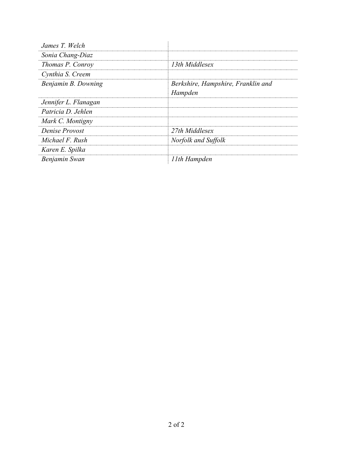| James T. Welch       |                                    |
|----------------------|------------------------------------|
| Sonia Chang-Diaz     |                                    |
| Thomas P. Conroy     | 13th Middlesex                     |
| Cynthia S. Creem     |                                    |
| Benjamin B. Downing  | Berkshire, Hampshire, Franklin and |
|                      | Hampden                            |
| Jennifer L. Flanagan |                                    |
| Patricia D. Jehlen   |                                    |
| Mark C. Montigny     |                                    |
| Denise Provost       | 27th Middlesex                     |
| Michael F. Rush      | Norfolk and Suffolk                |
| Karen E. Spilka      |                                    |
| Benjamin Swan        | 11th Hampden                       |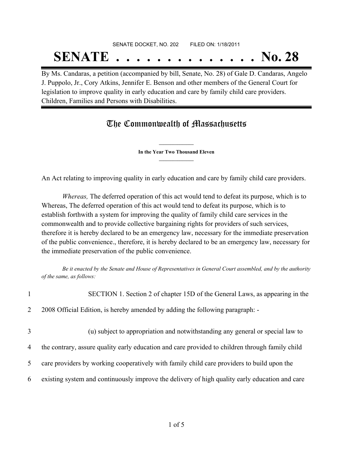# SENATE DOCKET, NO. 202 FILED ON: 1/18/2011 **SENATE . . . . . . . . . . . . . . No. 28**

By Ms. Candaras, a petition (accompanied by bill, Senate, No. 28) of Gale D. Candaras, Angelo J. Puppolo, Jr., Cory Atkins, Jennifer E. Benson and other members of the General Court for legislation to improve quality in early education and care by family child care providers. Children, Families and Persons with Disabilities.

## The Commonwealth of Massachusetts

**\_\_\_\_\_\_\_\_\_\_\_\_\_\_\_ In the Year Two Thousand Eleven \_\_\_\_\_\_\_\_\_\_\_\_\_\_\_**

An Act relating to improving quality in early education and care by family child care providers.

*Whereas,* The deferred operation of this act would tend to defeat its purpose, which is to Whereas, The deferred operation of this act would tend to defeat its purpose, which is to establish forthwith a system for improving the quality of family child care services in the commonwealth and to provide collective bargaining rights for providers of such services, therefore it is hereby declared to be an emergency law, necessary for the immediate preservation of the public convenience., therefore, it is hereby declared to be an emergency law, necessary for the immediate preservation of the public convenience.

Be it enacted by the Senate and House of Representatives in General Court assembled, and by the authority *of the same, as follows:*

| $\mathbf{1}$   | SECTION 1. Section 2 of chapter 15D of the General Laws, as appearing in the                    |
|----------------|-------------------------------------------------------------------------------------------------|
| $\overline{2}$ | 2008 Official Edition, is hereby amended by adding the following paragraph: -                   |
| 3              | (u) subject to appropriation and notwithstanding any general or special law to                  |
| 4              | the contrary, assure quality early education and care provided to children through family child |
| $5^{\circ}$    | care providers by working cooperatively with family child care providers to build upon the      |
| 6              | existing system and continuously improve the delivery of high quality early education and care  |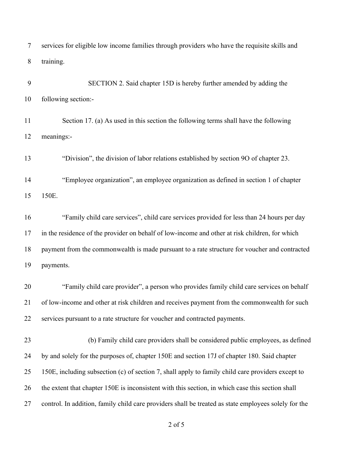| services for eligible low income families through providers who have the requisite skills and |
|-----------------------------------------------------------------------------------------------|
| training.                                                                                     |

9 SECTION 2. Said chapter 15D is hereby further amended by adding the following section:- Section 17. (a) As used in this section the following terms shall have the following meanings:- "Division", the division of labor relations established by section 9O of chapter 23. "Employee organization", an employee organization as defined in section 1 of chapter 150E. "Family child care services", child care services provided for less than 24 hours per day in the residence of the provider on behalf of low-income and other at risk children, for which payment from the commonwealth is made pursuant to a rate structure for voucher and contracted payments. "Family child care provider", a person who provides family child care services on behalf of low-income and other at risk children and receives payment from the commonwealth for such services pursuant to a rate structure for voucher and contracted payments. 23 (b) Family child care providers shall be considered public employees, as defined by and solely for the purposes of, chapter 150E and section 17J of chapter 180. Said chapter 150E, including subsection (c) of section 7, shall apply to family child care providers except to the extent that chapter 150E is inconsistent with this section, in which case this section shall control. In addition, family child care providers shall be treated as state employees solely for the

of 5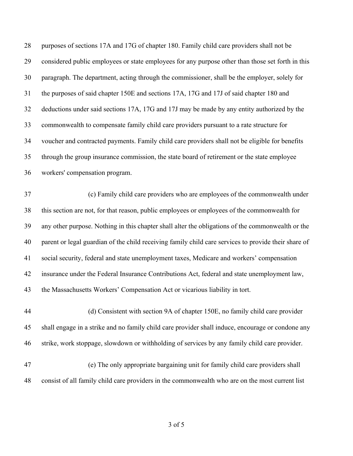| considered public employees or state employees for any purpose other than those set forth in this    |
|------------------------------------------------------------------------------------------------------|
| paragraph. The department, acting through the commissioner, shall be the employer, solely for        |
| the purposes of said chapter 150E and sections 17A, 17G and 17J of said chapter 180 and              |
| deductions under said sections 17A, 17G and 17J may be made by any entity authorized by the          |
| commonwealth to compensate family child care providers pursuant to a rate structure for              |
| voucher and contracted payments. Family child care providers shall not be eligible for benefits      |
| through the group insurance commission, the state board of retirement or the state employee          |
|                                                                                                      |
| (c) Family child care providers who are employees of the commonwealth under                          |
| this section are not, for that reason, public employees or employees of the commonwealth for         |
| any other purpose. Nothing in this chapter shall alter the obligations of the commonwealth or the    |
| parent or legal guardian of the child receiving family child care services to provide their share of |
| social security, federal and state unemployment taxes, Medicare and workers' compensation            |
| insurance under the Federal Insurance Contributions Act, federal and state unemployment law,         |
|                                                                                                      |
| (d) Consistent with section 9A of chapter 150E, no family child care provider                        |
| shall engage in a strike and no family child care provider shall induce, encourage or condone any    |
| strike, work stoppage, slowdown or withholding of services by any family child care provider.        |
| (e) The only appropriate bargaining unit for family child care providers shall                       |
|                                                                                                      |
|                                                                                                      |

of 5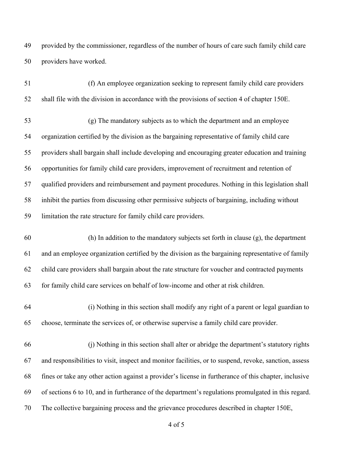provided by the commissioner, regardless of the number of hours of care such family child care providers have worked.

| 51 | (f) An employee organization seeking to represent family child care providers                          |
|----|--------------------------------------------------------------------------------------------------------|
| 52 | shall file with the division in accordance with the provisions of section 4 of chapter 150E.           |
| 53 | (g) The mandatory subjects as to which the department and an employee                                  |
| 54 | organization certified by the division as the bargaining representative of family child care           |
| 55 | providers shall bargain shall include developing and encouraging greater education and training        |
| 56 | opportunities for family child care providers, improvement of recruitment and retention of             |
| 57 | qualified providers and reimbursement and payment procedures. Nothing in this legislation shall        |
| 58 | inhibit the parties from discussing other permissive subjects of bargaining, including without         |
| 59 | limitation the rate structure for family child care providers.                                         |
| 60 | (h) In addition to the mandatory subjects set forth in clause (g), the department                      |
| 61 | and an employee organization certified by the division as the bargaining representative of family      |
| 62 | child care providers shall bargain about the rate structure for voucher and contracted payments        |
| 63 | for family child care services on behalf of low-income and other at risk children.                     |
| 64 | (i) Nothing in this section shall modify any right of a parent or legal guardian to                    |
| 65 | choose, terminate the services of, or otherwise supervise a family child care provider.                |
| 66 | (i) Nothing in this section shall alter or abridge the department's statutory rights                   |
| 67 | and responsibilities to visit, inspect and monitor facilities, or to suspend, revoke, sanction, assess |
| 68 | fines or take any other action against a provider's license in furtherance of this chapter, inclusive  |
| 69 | of sections 6 to 10, and in furtherance of the department's regulations promulgated in this regard.    |
| 70 | The collective bargaining process and the grievance procedures described in chapter 150E,              |

of 5